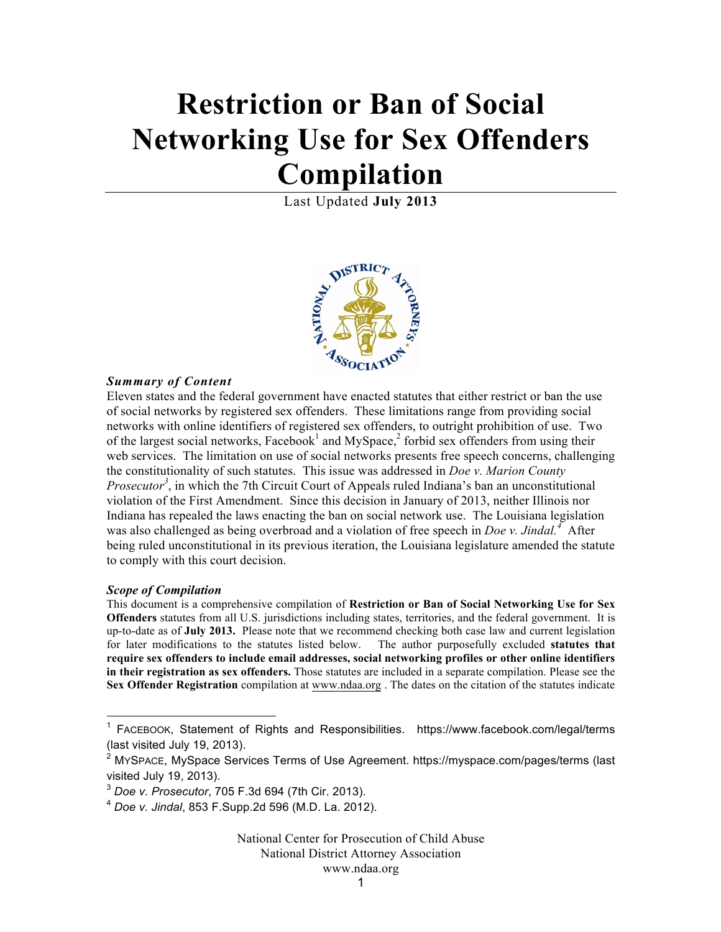# **Restriction or Ban of Social Networking Use for Sex Offenders Compilation**

Last Updated **July 2013**



#### *Summary of Content*

Eleven states and the federal government have enacted statutes that either restrict or ban the use of social networks by registered sex offenders. These limitations range from providing social networks with online identifiers of registered sex offenders, to outright prohibition of use. Two of the largest social networks, Facebook<sup>1</sup> and MySpace,<sup>2</sup> forbid sex offenders from using their web services. The limitation on use of social networks presents free speech concerns, challenging the constitutionality of such statutes. This issue was addressed in *Doe v. Marion County Prosecutor<sup>3</sup>* , in which the 7th Circuit Court of Appeals ruled Indiana's ban an unconstitutional violation of the First Amendment. Since this decision in January of 2013, neither Illinois nor Indiana has repealed the laws enacting the ban on social network use. The Louisiana legislation was also challenged as being overbroad and a violation of free speech in *Doe v. Jindal.*<sup>4</sup> After being ruled unconstitutional in its previous iteration, the Louisiana legislature amended the statute to comply with this court decision.

#### *Scope of Compilation*

This document is a comprehensive compilation of **Restriction or Ban of Social Networking Use for Sex Offenders** statutes from all U.S. jurisdictions including states, territories, and the federal government. It is up-to-date as of **July 2013.** Please note that we recommend checking both case law and current legislation for later modifications to the statutes listed below. The author purposefully excluded **statutes that require sex offenders to include email addresses, social networking profiles or other online identifiers in their registration as sex offenders.** Those statutes are included in a separate compilation. Please see the **Sex Offender Registration** compilation at www.ndaa.org. The dates on the citation of the statutes indicate

 <sup>1</sup> FACEBOOK, Statement of Rights and Responsibilities. https://www.facebook.com/legal/terms (last visited July 19, 2013).

<sup>&</sup>lt;sup>2</sup> MYSPACE, MySpace Services Terms of Use Agreement. https://myspace.com/pages/terms (last visited July 19, 2013).

<sup>3</sup> *Doe v. Prosecutor*, 705 F.3d 694 (7th Cir. 2013).

<sup>4</sup> *Doe v. Jindal*, 853 F.Supp.2d 596 (M.D. La. 2012).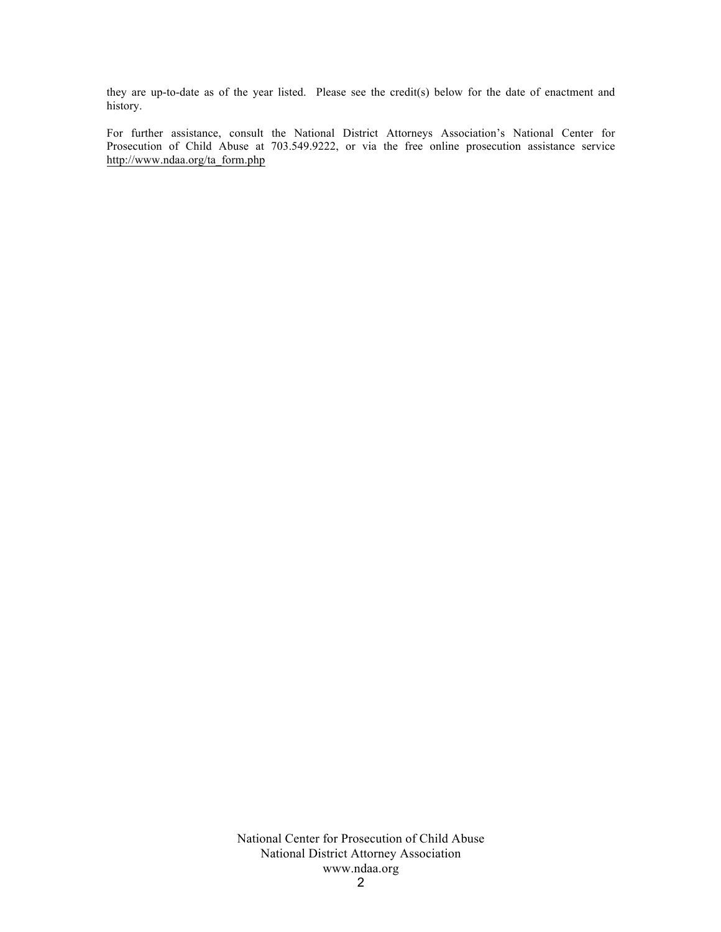they are up-to-date as of the year listed. Please see the credit(s) below for the date of enactment and history.

For further assistance, consult the National District Attorneys Association's National Center for Prosecution of Child Abuse at 703.549.9222, or via the free online prosecution assistance service http://www.ndaa.org/ta\_form.php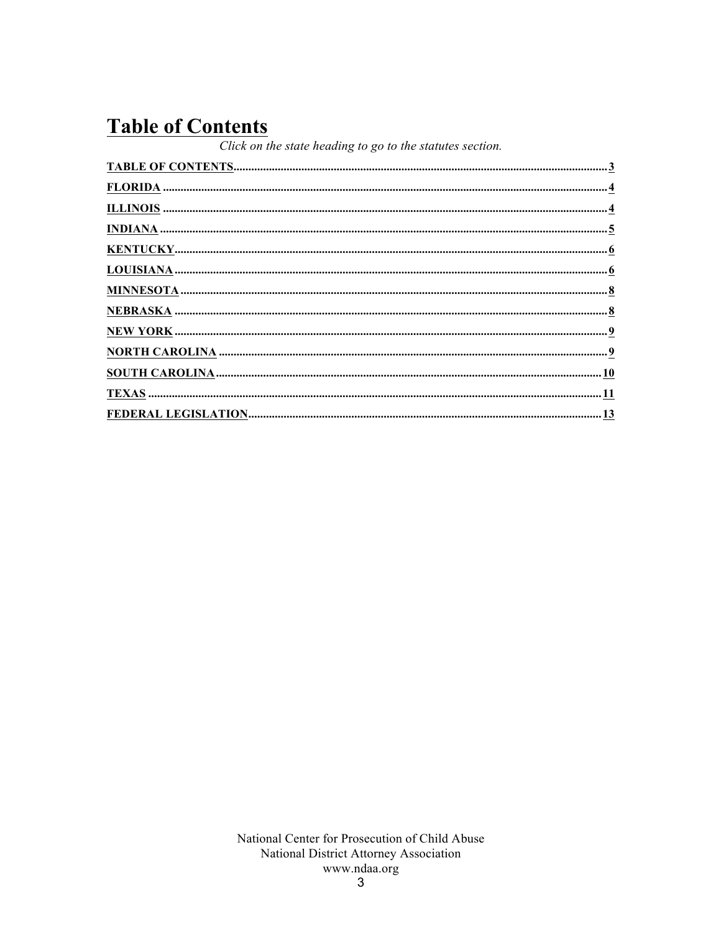## **Table of Contents**

 $Click on the state heading to go to the statutes section.$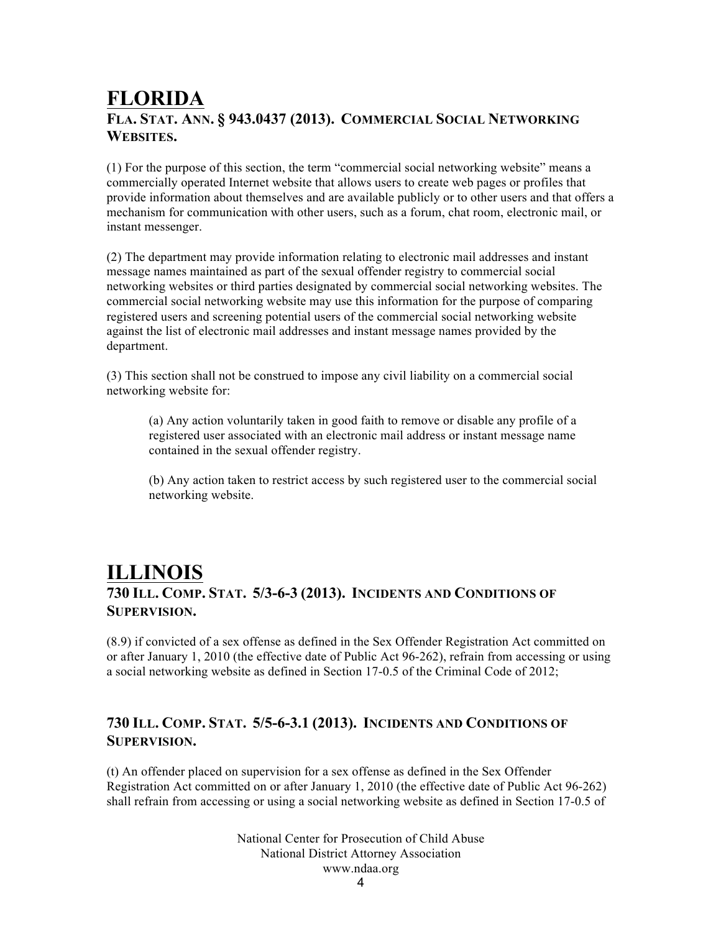### **FLORIDA FLA. STAT. ANN. § 943.0437 (2013). COMMERCIAL SOCIAL NETWORKING WEBSITES.**

(1) For the purpose of this section, the term "commercial social networking website" means a commercially operated Internet website that allows users to create web pages or profiles that provide information about themselves and are available publicly or to other users and that offers a mechanism for communication with other users, such as a forum, chat room, electronic mail, or instant messenger.

(2) The department may provide information relating to electronic mail addresses and instant message names maintained as part of the sexual offender registry to commercial social networking websites or third parties designated by commercial social networking websites. The commercial social networking website may use this information for the purpose of comparing registered users and screening potential users of the commercial social networking website against the list of electronic mail addresses and instant message names provided by the department.

(3) This section shall not be construed to impose any civil liability on a commercial social networking website for:

(a) Any action voluntarily taken in good faith to remove or disable any profile of a registered user associated with an electronic mail address or instant message name contained in the sexual offender registry.

(b) Any action taken to restrict access by such registered user to the commercial social networking website.

### **ILLINOIS 730 ILL. COMP. STAT. 5/3-6-3 (2013). INCIDENTS AND CONDITIONS OF SUPERVISION.**

(8.9) if convicted of a sex offense as defined in the Sex Offender Registration Act committed on or after January 1, 2010 (the effective date of Public Act 96-262), refrain from accessing or using a social networking website as defined in Section 17-0.5 of the Criminal Code of 2012;

### **730 ILL. COMP. STAT. 5/5-6-3.1 (2013). INCIDENTS AND CONDITIONS OF SUPERVISION.**

(t) An offender placed on supervision for a sex offense as defined in the Sex Offender Registration Act committed on or after January 1, 2010 (the effective date of Public Act 96-262) shall refrain from accessing or using a social networking website as defined in Section 17-0.5 of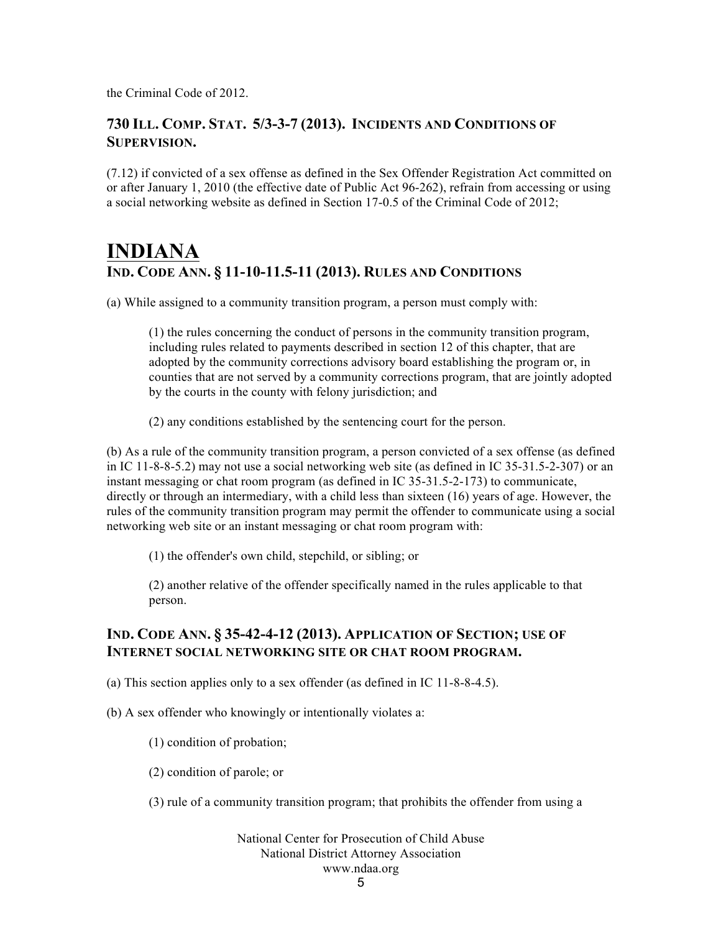the Criminal Code of 2012.

### **730 ILL. COMP. STAT. 5/3-3-7 (2013). INCIDENTS AND CONDITIONS OF SUPERVISION.**

(7.12) if convicted of a sex offense as defined in the Sex Offender Registration Act committed on or after January 1, 2010 (the effective date of Public Act 96-262), refrain from accessing or using a social networking website as defined in Section 17-0.5 of the Criminal Code of 2012;

### **INDIANA IND. CODE ANN. § 11-10-11.5-11 (2013). RULES AND CONDITIONS**

(a) While assigned to a community transition program, a person must comply with:

(1) the rules concerning the conduct of persons in the community transition program, including rules related to payments described in section 12 of this chapter, that are adopted by the community corrections advisory board establishing the program or, in counties that are not served by a community corrections program, that are jointly adopted by the courts in the county with felony jurisdiction; and

(2) any conditions established by the sentencing court for the person.

(b) As a rule of the community transition program, a person convicted of a sex offense (as defined in IC 11-8-8-5.2) may not use a social networking web site (as defined in IC 35-31.5-2-307) or an instant messaging or chat room program (as defined in IC 35-31.5-2-173) to communicate, directly or through an intermediary, with a child less than sixteen (16) years of age. However, the rules of the community transition program may permit the offender to communicate using a social networking web site or an instant messaging or chat room program with:

(1) the offender's own child, stepchild, or sibling; or

(2) another relative of the offender specifically named in the rules applicable to that person.

### **IND. CODE ANN. § 35-42-4-12 (2013). APPLICATION OF SECTION; USE OF INTERNET SOCIAL NETWORKING SITE OR CHAT ROOM PROGRAM.**

(a) This section applies only to a sex offender (as defined in IC 11-8-8-4.5).

(b) A sex offender who knowingly or intentionally violates a:

(1) condition of probation;

(2) condition of parole; or

(3) rule of a community transition program; that prohibits the offender from using a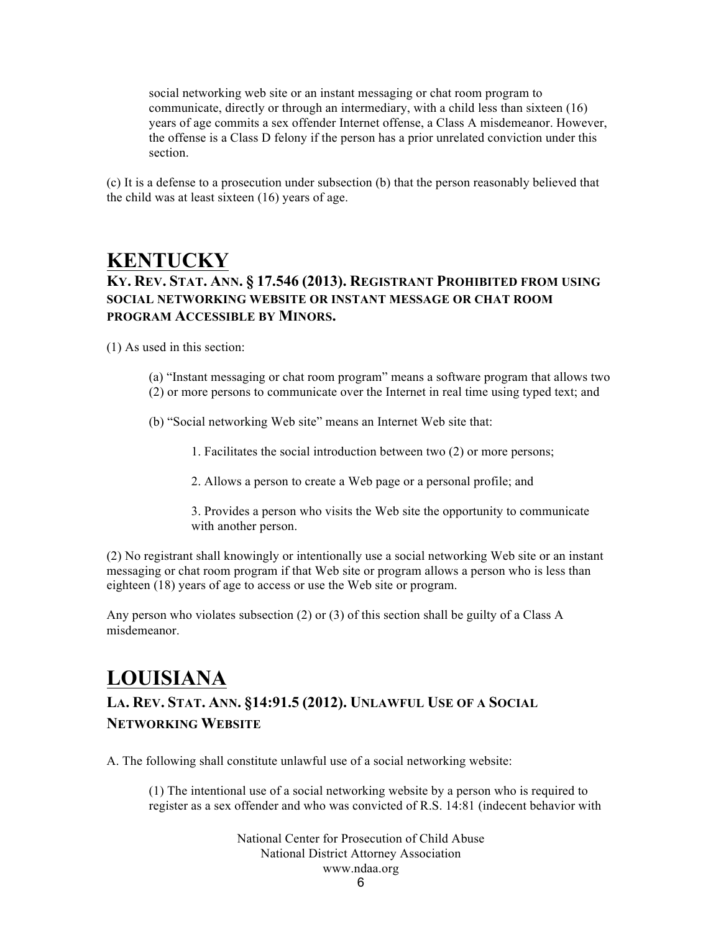social networking web site or an instant messaging or chat room program to communicate, directly or through an intermediary, with a child less than sixteen (16) years of age commits a sex offender Internet offense, a Class A misdemeanor. However, the offense is a Class D felony if the person has a prior unrelated conviction under this section.

(c) It is a defense to a prosecution under subsection (b) that the person reasonably believed that the child was at least sixteen (16) years of age.

## **KENTUCKY**

### **KY. REV. STAT. ANN. § 17.546 (2013). REGISTRANT PROHIBITED FROM USING SOCIAL NETWORKING WEBSITE OR INSTANT MESSAGE OR CHAT ROOM PROGRAM ACCESSIBLE BY MINORS.**

(1) As used in this section:

- (a) "Instant messaging or chat room program" means a software program that allows two (2) or more persons to communicate over the Internet in real time using typed text; and
- (b) "Social networking Web site" means an Internet Web site that:
	- 1. Facilitates the social introduction between two (2) or more persons;
	- 2. Allows a person to create a Web page or a personal profile; and
	- 3. Provides a person who visits the Web site the opportunity to communicate with another person.

(2) No registrant shall knowingly or intentionally use a social networking Web site or an instant messaging or chat room program if that Web site or program allows a person who is less than eighteen (18) years of age to access or use the Web site or program.

Any person who violates subsection (2) or (3) of this section shall be guilty of a Class A misdemeanor.

## **LOUISIANA**

### **LA. REV. STAT. ANN. §14:91.5 (2012). UNLAWFUL USE OF A SOCIAL NETWORKING WEBSITE**

A. The following shall constitute unlawful use of a social networking website:

(1) The intentional use of a social networking website by a person who is required to register as a sex offender and who was convicted of R.S. 14:81 (indecent behavior with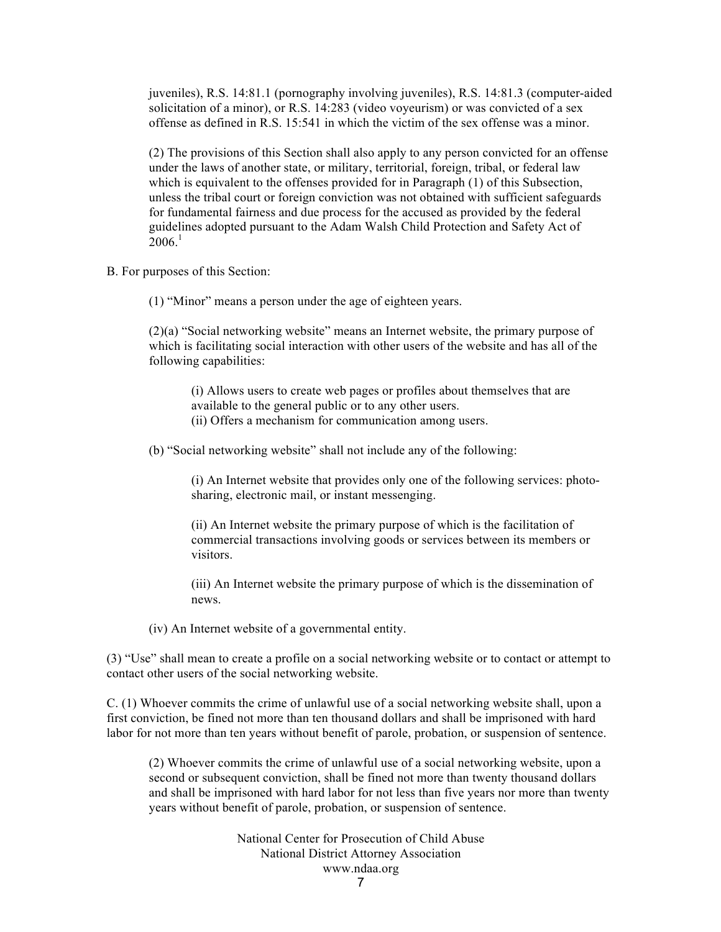juveniles), R.S. 14:81.1 (pornography involving juveniles), R.S. 14:81.3 (computer-aided solicitation of a minor), or R.S. 14:283 (video voyeurism) or was convicted of a sex offense as defined in R.S. 15:541 in which the victim of the sex offense was a minor.

(2) The provisions of this Section shall also apply to any person convicted for an offense under the laws of another state, or military, territorial, foreign, tribal, or federal law which is equivalent to the offenses provided for in Paragraph (1) of this Subsection, unless the tribal court or foreign conviction was not obtained with sufficient safeguards for fundamental fairness and due process for the accused as provided by the federal guidelines adopted pursuant to the Adam Walsh Child Protection and Safety Act of  $2006<sup>1</sup>$ 

B. For purposes of this Section:

(1) "Minor" means a person under the age of eighteen years.

(2)(a) "Social networking website" means an Internet website, the primary purpose of which is facilitating social interaction with other users of the website and has all of the following capabilities:

(i) Allows users to create web pages or profiles about themselves that are available to the general public or to any other users. (ii) Offers a mechanism for communication among users.

(b) "Social networking website" shall not include any of the following:

(i) An Internet website that provides only one of the following services: photosharing, electronic mail, or instant messenging.

(ii) An Internet website the primary purpose of which is the facilitation of commercial transactions involving goods or services between its members or visitors.

(iii) An Internet website the primary purpose of which is the dissemination of news.

(iv) An Internet website of a governmental entity.

(3) "Use" shall mean to create a profile on a social networking website or to contact or attempt to contact other users of the social networking website.

C. (1) Whoever commits the crime of unlawful use of a social networking website shall, upon a first conviction, be fined not more than ten thousand dollars and shall be imprisoned with hard labor for not more than ten years without benefit of parole, probation, or suspension of sentence.

(2) Whoever commits the crime of unlawful use of a social networking website, upon a second or subsequent conviction, shall be fined not more than twenty thousand dollars and shall be imprisoned with hard labor for not less than five years nor more than twenty years without benefit of parole, probation, or suspension of sentence.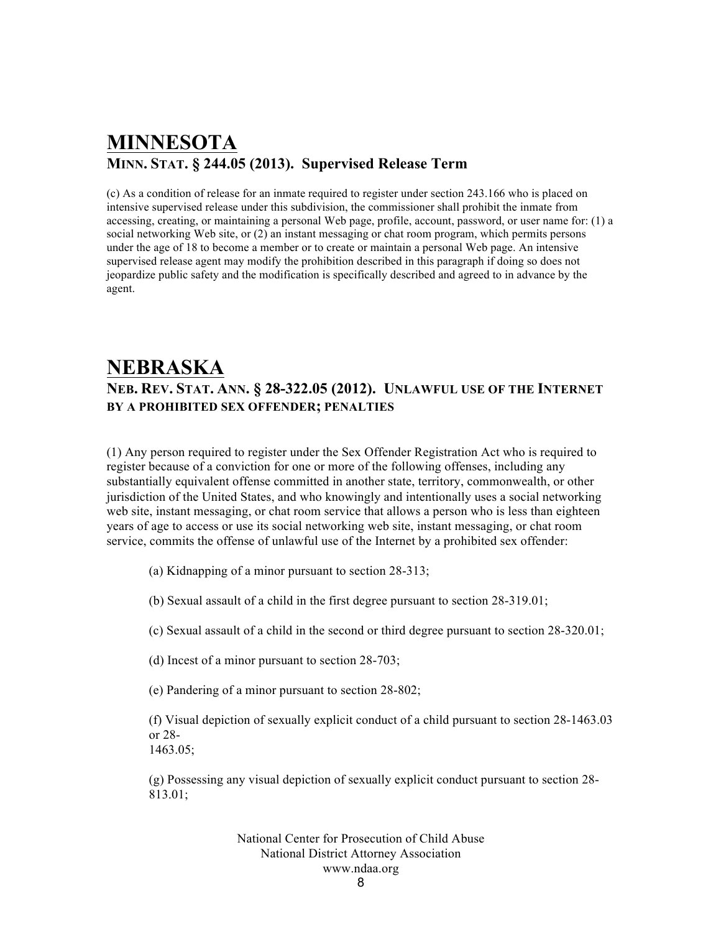## **MINNESOTA MINN. STAT. § 244.05 (2013). Supervised Release Term**

(c) As a condition of release for an inmate required to register under section 243.166 who is placed on intensive supervised release under this subdivision, the commissioner shall prohibit the inmate from accessing, creating, or maintaining a personal Web page, profile, account, password, or user name for: (1) a social networking Web site, or (2) an instant messaging or chat room program, which permits persons under the age of 18 to become a member or to create or maintain a personal Web page. An intensive supervised release agent may modify the prohibition described in this paragraph if doing so does not jeopardize public safety and the modification is specifically described and agreed to in advance by the agent.

### **NEBRASKA NEB. REV. STAT. ANN. § 28-322.05 (2012). UNLAWFUL USE OF THE INTERNET BY A PROHIBITED SEX OFFENDER; PENALTIES**

(1) Any person required to register under the Sex Offender Registration Act who is required to register because of a conviction for one or more of the following offenses, including any substantially equivalent offense committed in another state, territory, commonwealth, or other jurisdiction of the United States, and who knowingly and intentionally uses a social networking web site, instant messaging, or chat room service that allows a person who is less than eighteen years of age to access or use its social networking web site, instant messaging, or chat room service, commits the offense of unlawful use of the Internet by a prohibited sex offender:

(a) Kidnapping of a minor pursuant to section 28-313;

(b) Sexual assault of a child in the first degree pursuant to section 28-319.01;

(c) Sexual assault of a child in the second or third degree pursuant to section 28-320.01;

(d) Incest of a minor pursuant to section 28-703;

(e) Pandering of a minor pursuant to section 28-802;

(f) Visual depiction of sexually explicit conduct of a child pursuant to section 28-1463.03 or 28-

1463.05;

(g) Possessing any visual depiction of sexually explicit conduct pursuant to section 28- 813.01;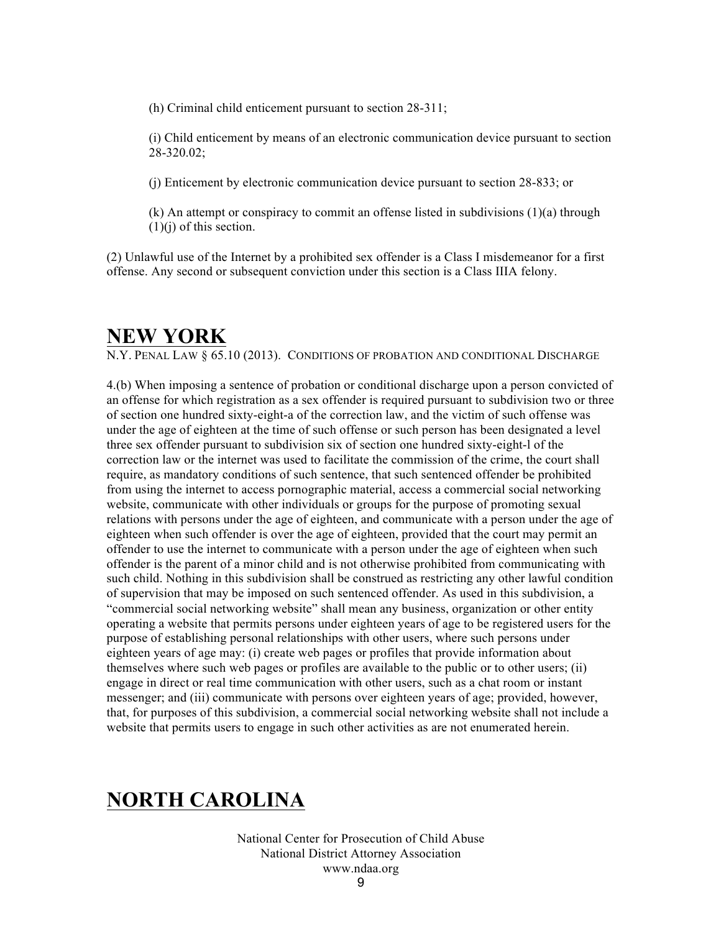(h) Criminal child enticement pursuant to section 28-311;

(i) Child enticement by means of an electronic communication device pursuant to section 28-320.02;

(j) Enticement by electronic communication device pursuant to section 28-833; or

(k) An attempt or conspiracy to commit an offense listed in subdivisions (1)(a) through  $(1)(i)$  of this section.

(2) Unlawful use of the Internet by a prohibited sex offender is a Class I misdemeanor for a first offense. Any second or subsequent conviction under this section is a Class IIIA felony.

### **NEW YORK**

N.Y. PENAL LAW § 65.10 (2013). CONDITIONS OF PROBATION AND CONDITIONAL DISCHARGE

4.(b) When imposing a sentence of probation or conditional discharge upon a person convicted of an offense for which registration as a sex offender is required pursuant to subdivision two or three of section one hundred sixty-eight-a of the correction law, and the victim of such offense was under the age of eighteen at the time of such offense or such person has been designated a level three sex offender pursuant to subdivision six of section one hundred sixty-eight-l of the correction law or the internet was used to facilitate the commission of the crime, the court shall require, as mandatory conditions of such sentence, that such sentenced offender be prohibited from using the internet to access pornographic material, access a commercial social networking website, communicate with other individuals or groups for the purpose of promoting sexual relations with persons under the age of eighteen, and communicate with a person under the age of eighteen when such offender is over the age of eighteen, provided that the court may permit an offender to use the internet to communicate with a person under the age of eighteen when such offender is the parent of a minor child and is not otherwise prohibited from communicating with such child. Nothing in this subdivision shall be construed as restricting any other lawful condition of supervision that may be imposed on such sentenced offender. As used in this subdivision, a "commercial social networking website" shall mean any business, organization or other entity operating a website that permits persons under eighteen years of age to be registered users for the purpose of establishing personal relationships with other users, where such persons under eighteen years of age may: (i) create web pages or profiles that provide information about themselves where such web pages or profiles are available to the public or to other users; (ii) engage in direct or real time communication with other users, such as a chat room or instant messenger; and (iii) communicate with persons over eighteen years of age; provided, however, that, for purposes of this subdivision, a commercial social networking website shall not include a website that permits users to engage in such other activities as are not enumerated herein.

### **NORTH CAROLINA**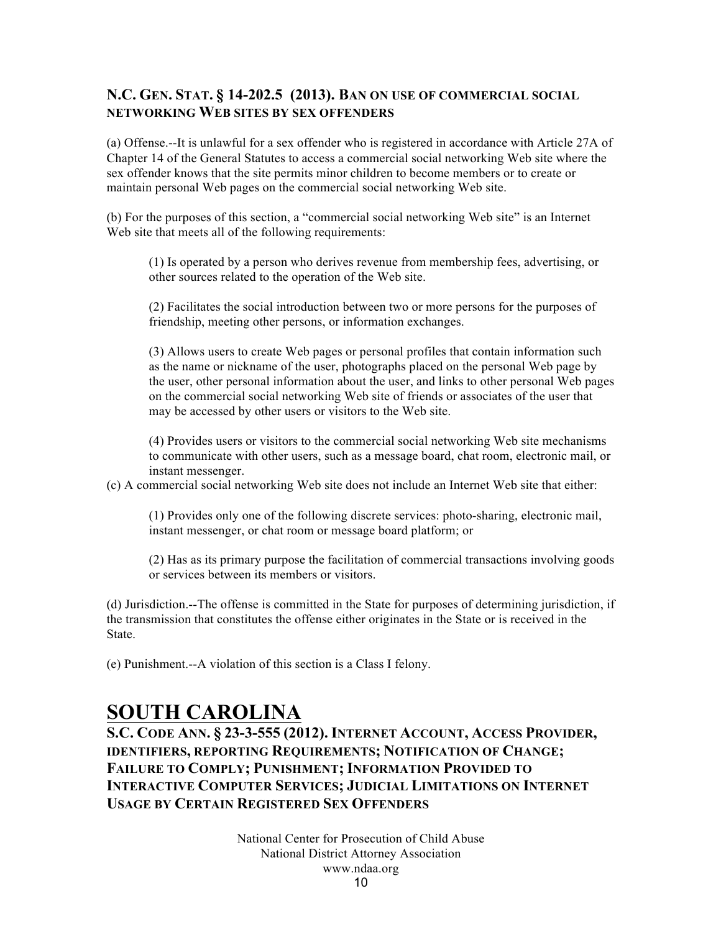### **N.C. GEN. STAT. § 14-202.5 (2013). BAN ON USE OF COMMERCIAL SOCIAL NETWORKING WEB SITES BY SEX OFFENDERS**

(a) Offense.--It is unlawful for a sex offender who is registered in accordance with Article 27A of Chapter 14 of the General Statutes to access a commercial social networking Web site where the sex offender knows that the site permits minor children to become members or to create or maintain personal Web pages on the commercial social networking Web site.

(b) For the purposes of this section, a "commercial social networking Web site" is an Internet Web site that meets all of the following requirements:

(1) Is operated by a person who derives revenue from membership fees, advertising, or other sources related to the operation of the Web site.

(2) Facilitates the social introduction between two or more persons for the purposes of friendship, meeting other persons, or information exchanges.

(3) Allows users to create Web pages or personal profiles that contain information such as the name or nickname of the user, photographs placed on the personal Web page by the user, other personal information about the user, and links to other personal Web pages on the commercial social networking Web site of friends or associates of the user that may be accessed by other users or visitors to the Web site.

(4) Provides users or visitors to the commercial social networking Web site mechanisms to communicate with other users, such as a message board, chat room, electronic mail, or instant messenger.

(c) A commercial social networking Web site does not include an Internet Web site that either:

(1) Provides only one of the following discrete services: photo-sharing, electronic mail, instant messenger, or chat room or message board platform; or

(2) Has as its primary purpose the facilitation of commercial transactions involving goods or services between its members or visitors.

(d) Jurisdiction.--The offense is committed in the State for purposes of determining jurisdiction, if the transmission that constitutes the offense either originates in the State or is received in the State.

(e) Punishment.--A violation of this section is a Class I felony.

## **SOUTH CAROLINA**

**S.C. CODE ANN. § 23-3-555 (2012). INTERNET ACCOUNT, ACCESS PROVIDER, IDENTIFIERS, REPORTING REQUIREMENTS; NOTIFICATION OF CHANGE; FAILURE TO COMPLY; PUNISHMENT; INFORMATION PROVIDED TO INTERACTIVE COMPUTER SERVICES; JUDICIAL LIMITATIONS ON INTERNET USAGE BY CERTAIN REGISTERED SEX OFFENDERS**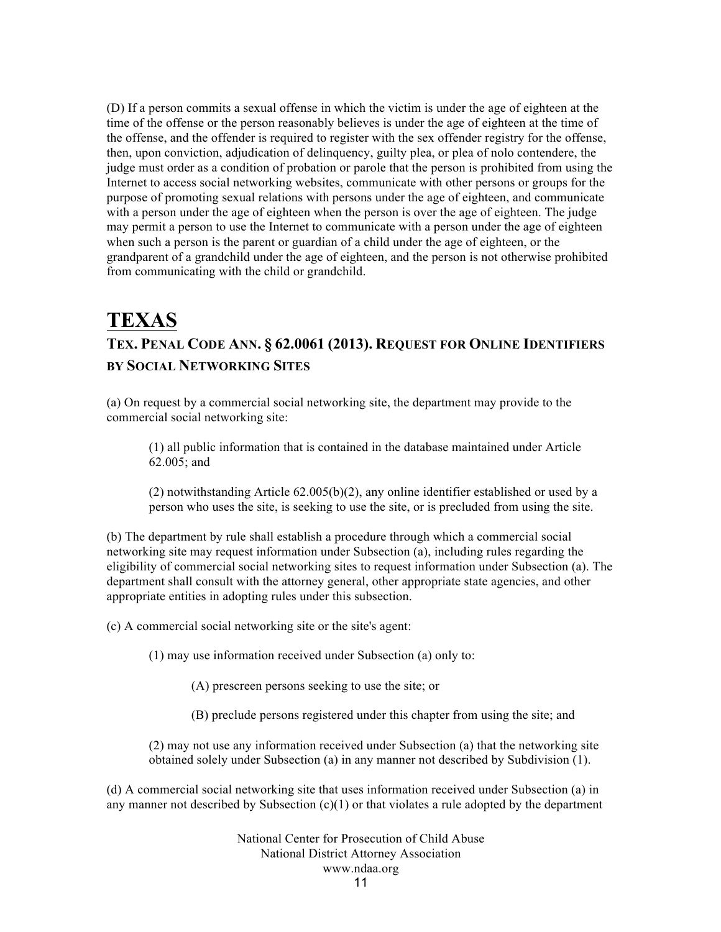(D) If a person commits a sexual offense in which the victim is under the age of eighteen at the time of the offense or the person reasonably believes is under the age of eighteen at the time of the offense, and the offender is required to register with the sex offender registry for the offense, then, upon conviction, adjudication of delinquency, guilty plea, or plea of nolo contendere, the judge must order as a condition of probation or parole that the person is prohibited from using the Internet to access social networking websites, communicate with other persons or groups for the purpose of promoting sexual relations with persons under the age of eighteen, and communicate with a person under the age of eighteen when the person is over the age of eighteen. The judge may permit a person to use the Internet to communicate with a person under the age of eighteen when such a person is the parent or guardian of a child under the age of eighteen, or the grandparent of a grandchild under the age of eighteen, and the person is not otherwise prohibited from communicating with the child or grandchild.

## **TEXAS TEX. PENAL CODE ANN. § 62.0061 (2013). REQUEST FOR ONLINE IDENTIFIERS BY SOCIAL NETWORKING SITES**

(a) On request by a commercial social networking site, the department may provide to the commercial social networking site:

(1) all public information that is contained in the database maintained under Article 62.005; and

(2) notwithstanding Article 62.005(b)(2), any online identifier established or used by a person who uses the site, is seeking to use the site, or is precluded from using the site.

(b) The department by rule shall establish a procedure through which a commercial social networking site may request information under Subsection (a), including rules regarding the eligibility of commercial social networking sites to request information under Subsection (a). The department shall consult with the attorney general, other appropriate state agencies, and other appropriate entities in adopting rules under this subsection.

(c) A commercial social networking site or the site's agent:

(1) may use information received under Subsection (a) only to:

(A) prescreen persons seeking to use the site; or

(B) preclude persons registered under this chapter from using the site; and

(2) may not use any information received under Subsection (a) that the networking site obtained solely under Subsection (a) in any manner not described by Subdivision (1).

(d) A commercial social networking site that uses information received under Subsection (a) in any manner not described by Subsection  $(c)(1)$  or that violates a rule adopted by the department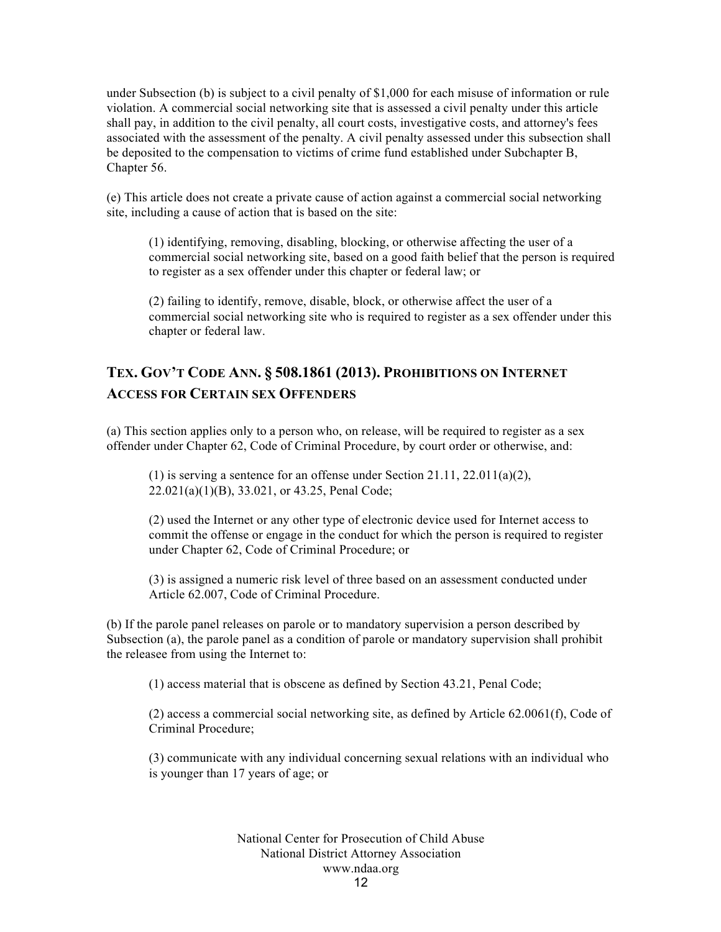under Subsection (b) is subject to a civil penalty of \$1,000 for each misuse of information or rule violation. A commercial social networking site that is assessed a civil penalty under this article shall pay, in addition to the civil penalty, all court costs, investigative costs, and attorney's fees associated with the assessment of the penalty. A civil penalty assessed under this subsection shall be deposited to the compensation to victims of crime fund established under Subchapter B, Chapter 56.

(e) This article does not create a private cause of action against a commercial social networking site, including a cause of action that is based on the site:

(1) identifying, removing, disabling, blocking, or otherwise affecting the user of a commercial social networking site, based on a good faith belief that the person is required to register as a sex offender under this chapter or federal law; or

(2) failing to identify, remove, disable, block, or otherwise affect the user of a commercial social networking site who is required to register as a sex offender under this chapter or federal law.

### **TEX. GOV'T CODE ANN. § 508.1861 (2013). PROHIBITIONS ON INTERNET ACCESS FOR CERTAIN SEX OFFENDERS**

(a) This section applies only to a person who, on release, will be required to register as a sex offender under Chapter 62, Code of Criminal Procedure, by court order or otherwise, and:

(1) is serving a sentence for an offense under Section 21.11, 22.011(a)(2), 22.021(a)(1)(B), 33.021, or 43.25, Penal Code;

(2) used the Internet or any other type of electronic device used for Internet access to commit the offense or engage in the conduct for which the person is required to register under Chapter 62, Code of Criminal Procedure; or

(3) is assigned a numeric risk level of three based on an assessment conducted under Article 62.007, Code of Criminal Procedure.

(b) If the parole panel releases on parole or to mandatory supervision a person described by Subsection (a), the parole panel as a condition of parole or mandatory supervision shall prohibit the releasee from using the Internet to:

(1) access material that is obscene as defined by Section 43.21, Penal Code;

(2) access a commercial social networking site, as defined by Article 62.0061(f), Code of Criminal Procedure;

(3) communicate with any individual concerning sexual relations with an individual who is younger than 17 years of age; or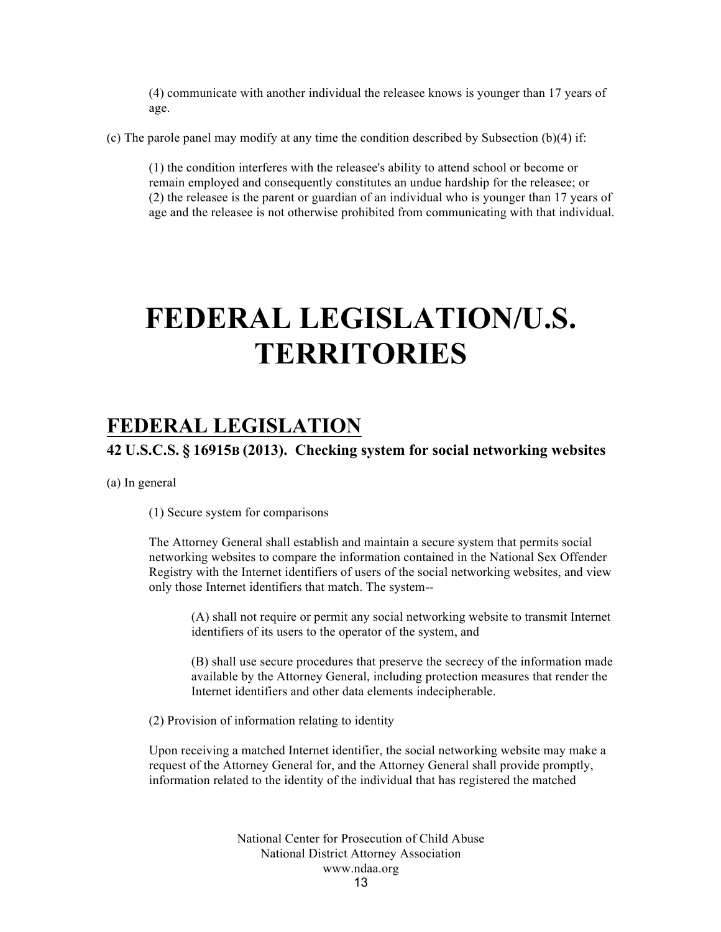(4) communicate with another individual the releasee knows is younger than 17 years of age.

(c) The parole panel may modify at any time the condition described by Subsection (b)(4) if:

(1) the condition interferes with the releasee's ability to attend school or become or remain employed and consequently constitutes an undue hardship for the releasee; or (2) the releasee is the parent or guardian of an individual who is younger than 17 years of age and the releasee is not otherwise prohibited from communicating with that individual.

# **FEDERAL LEGISLATION/U.S. TERRITORIES**

## **FEDERAL LEGISLATION**

**42 U.S.C.S. § 16915B (2013). Checking system for social networking websites**

(a) In general

(1) Secure system for comparisons

The Attorney General shall establish and maintain a secure system that permits social networking websites to compare the information contained in the National Sex Offender Registry with the Internet identifiers of users of the social networking websites, and view only those Internet identifiers that match. The system--

(A) shall not require or permit any social networking website to transmit Internet identifiers of its users to the operator of the system, and

(B) shall use secure procedures that preserve the secrecy of the information made available by the Attorney General, including protection measures that render the Internet identifiers and other data elements indecipherable.

(2) Provision of information relating to identity

Upon receiving a matched Internet identifier, the social networking website may make a request of the Attorney General for, and the Attorney General shall provide promptly, information related to the identity of the individual that has registered the matched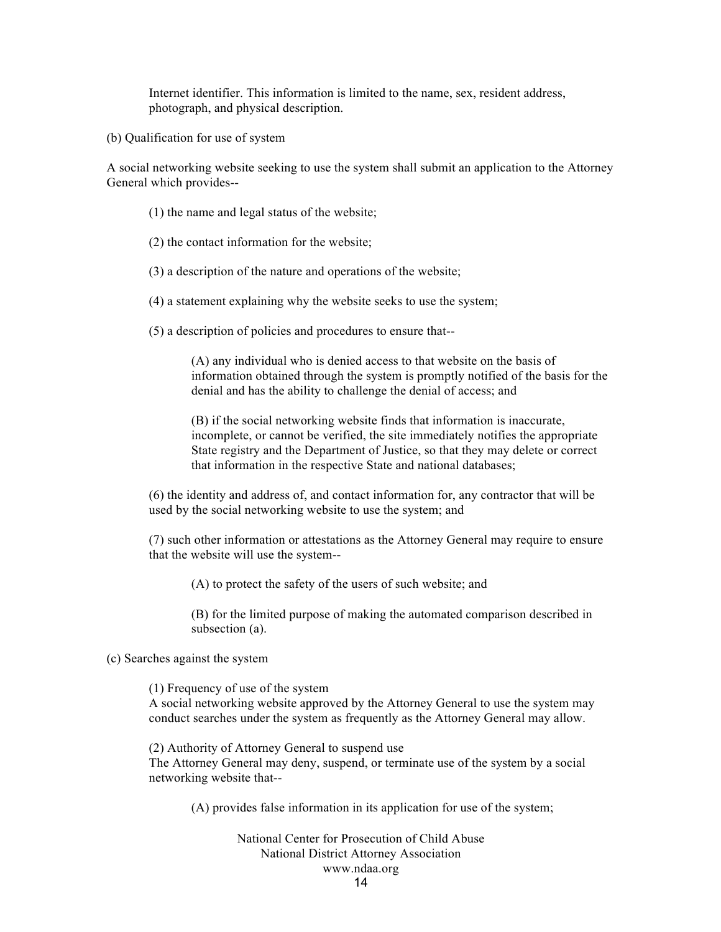Internet identifier. This information is limited to the name, sex, resident address, photograph, and physical description.

(b) Qualification for use of system

A social networking website seeking to use the system shall submit an application to the Attorney General which provides--

- (1) the name and legal status of the website;
- (2) the contact information for the website;
- (3) a description of the nature and operations of the website;
- (4) a statement explaining why the website seeks to use the system;
- (5) a description of policies and procedures to ensure that--

(A) any individual who is denied access to that website on the basis of information obtained through the system is promptly notified of the basis for the denial and has the ability to challenge the denial of access; and

(B) if the social networking website finds that information is inaccurate, incomplete, or cannot be verified, the site immediately notifies the appropriate State registry and the Department of Justice, so that they may delete or correct that information in the respective State and national databases;

(6) the identity and address of, and contact information for, any contractor that will be used by the social networking website to use the system; and

(7) such other information or attestations as the Attorney General may require to ensure that the website will use the system--

(A) to protect the safety of the users of such website; and

(B) for the limited purpose of making the automated comparison described in subsection (a).

(c) Searches against the system

(1) Frequency of use of the system

A social networking website approved by the Attorney General to use the system may conduct searches under the system as frequently as the Attorney General may allow.

(2) Authority of Attorney General to suspend use The Attorney General may deny, suspend, or terminate use of the system by a social networking website that--

(A) provides false information in its application for use of the system;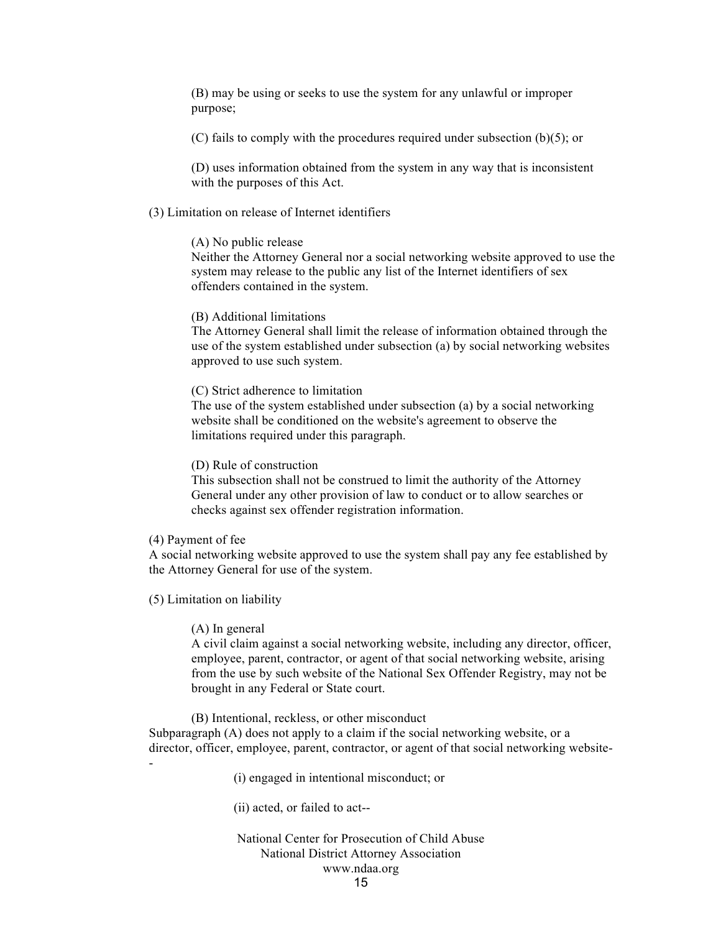(B) may be using or seeks to use the system for any unlawful or improper purpose;

(C) fails to comply with the procedures required under subsection (b)(5); or

(D) uses information obtained from the system in any way that is inconsistent with the purposes of this Act.

(3) Limitation on release of Internet identifiers

#### (A) No public release

Neither the Attorney General nor a social networking website approved to use the system may release to the public any list of the Internet identifiers of sex offenders contained in the system.

#### (B) Additional limitations

The Attorney General shall limit the release of information obtained through the use of the system established under subsection (a) by social networking websites approved to use such system.

#### (C) Strict adherence to limitation

The use of the system established under subsection (a) by a social networking website shall be conditioned on the website's agreement to observe the limitations required under this paragraph.

#### (D) Rule of construction

This subsection shall not be construed to limit the authority of the Attorney General under any other provision of law to conduct or to allow searches or checks against sex offender registration information.

#### (4) Payment of fee

-

A social networking website approved to use the system shall pay any fee established by the Attorney General for use of the system.

(5) Limitation on liability

#### (A) In general

A civil claim against a social networking website, including any director, officer, employee, parent, contractor, or agent of that social networking website, arising from the use by such website of the National Sex Offender Registry, may not be brought in any Federal or State court.

(B) Intentional, reckless, or other misconduct Subparagraph (A) does not apply to a claim if the social networking website, or a director, officer, employee, parent, contractor, or agent of that social networking website-

(i) engaged in intentional misconduct; or

(ii) acted, or failed to act--